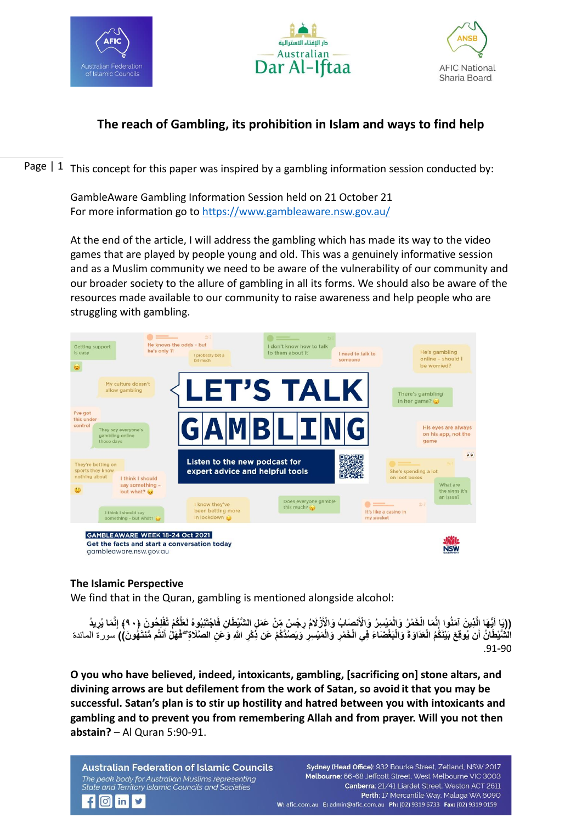





# **The reach of Gambling, its prohibition in Islam and ways to find help**

Page | 1 This concept for this paper was inspired by a gambling information session conducted by:

GambleAware Gambling Information Session held on 21 October 21 For more information go to<https://www.gambleaware.nsw.gov.au/>

At the end of the article, I will address the gambling which has made its way to the video games that are played by people young and old. This was a genuinely informative session and as a Muslim community we need to be aware of the vulnerability of our community and our broader society to the allure of gambling in all its forms. We should also be aware of the resources made available to our community to raise awareness and help people who are struggling with gambling.



# **The Islamic Perspective**

We find that in the Quran, gambling is mentioned alongside alcohol:

((يَا أَيُّهَا الَّذِينَ آمَنُوا إِنَّمَا الْخَمْرُ وَالْمَيْسِرُ وَالْأَنْصَابُ وَالْأَزْلَامُ رِجْسٌ مِّنْ عَمَلِ الشَّيْطَانِ فَاجْتَنِبُوهُ لَعَلِّكُمْ تُفْلِحُونَ ﴿٩٠﴾ إِنَّمَا يُرِيدُ الْشَّيْطَانُ أَن يُوقِعَ بَيْنَكُمُ الْعَدَاوَةَ وَالْبَغْضَاءَ فِي الْخَمْرِ وَالْمَيْسِرِ وَيَصُدَّكُمْ عَن ذَكْرِ اللَّهِ وَعَنِ الصَّلَاةِ ۖفَهَلْ أَنتُم مُّنْتَهُونَ)) سورة المائدة **َ** .91-90

**O you who have believed, indeed, intoxicants, gambling, [sacrificing on] stone altars, and divining arrows are but defilement from the work of Satan, so avoid it that you may be successful. Satan's plan is to stir up hostility and hatred between you with intoxicants and gambling and to prevent you from remembering Allah and from prayer. Will you not then abstain?** – Al Quran 5:90-91.

**Australian Federation of Islamic Councils** The peak body for Australian Muslims representing State and Territory Islamic Councils and Societies

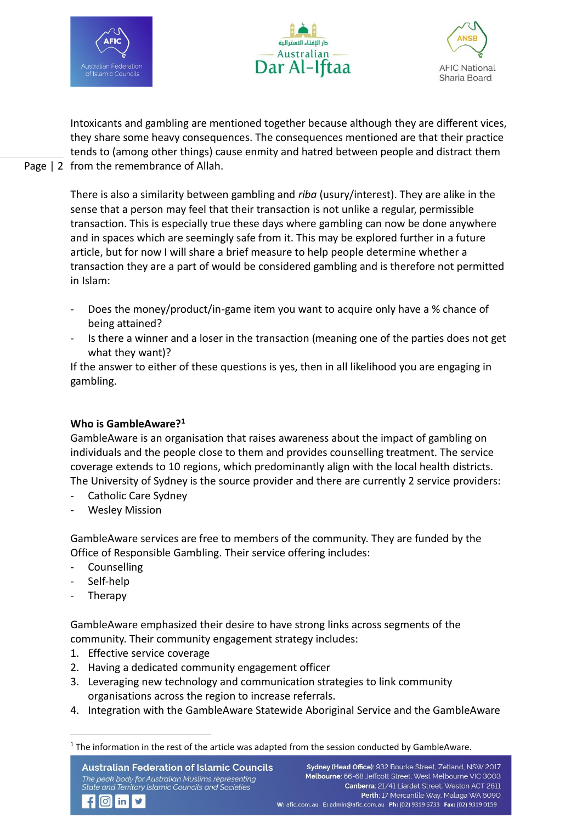





Intoxicants and gambling are mentioned together because although they are different vices, they share some heavy consequences. The consequences mentioned are that their practice tends to (among other things) cause enmity and hatred between people and distract them

# Page | 2 from the remembrance of Allah.

There is also a similarity between gambling and *riba* (usury/interest). They are alike in the sense that a person may feel that their transaction is not unlike a regular, permissible transaction. This is especially true these days where gambling can now be done anywhere and in spaces which are seemingly safe from it. This may be explored further in a future article, but for now I will share a brief measure to help people determine whether a transaction they are a part of would be considered gambling and is therefore not permitted in Islam:

- Does the money/product/in-game item you want to acquire only have a % chance of being attained?
- Is there a winner and a loser in the transaction (meaning one of the parties does not get what they want)?

If the answer to either of these questions is yes, then in all likelihood you are engaging in gambling.

# **Who is GambleAware?<sup>1</sup>**

GambleAware is an organisation that raises awareness about the impact of gambling on individuals and the people close to them and provides counselling treatment. The service coverage extends to 10 regions, which predominantly align with the local health districts. The University of Sydney is the source provider and there are currently 2 service providers:

- Catholic Care Sydney
- **Wesley Mission**

GambleAware services are free to members of the community. They are funded by the Office of Responsible Gambling. Their service offering includes:

**Counselling** 

 $f$   $\circ$  in  $\prime$ 

- Self-help
- **Therapy**

GambleAware emphasized their desire to have strong links across segments of the community. Their community engagement strategy includes:

- 1. Effective service coverage
- 2. Having a dedicated community engagement officer
- 3. Leveraging new technology and communication strategies to link community organisations across the region to increase referrals.
- 4. Integration with the GambleAware Statewide Aboriginal Service and the GambleAware

 $1$  The information in the rest of the article was adapted from the session conducted by GambleAware.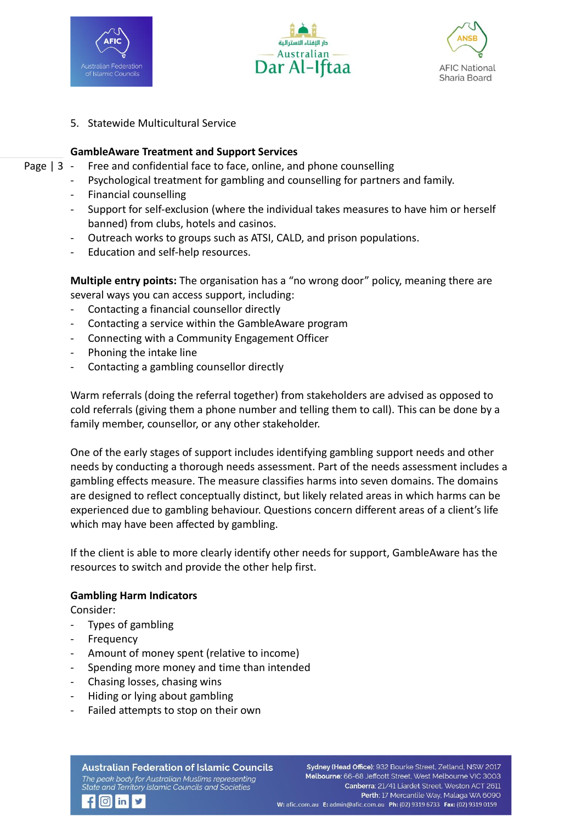





5. Statewide Multicultural Service

### **GambleAware Treatment and Support Services**

- Page | 3 -Free and confidential face to face, online, and phone counselling
	- Psychological treatment for gambling and counselling for partners and family.
	- Financial counselling
	- Support for self-exclusion (where the individual takes measures to have him or herself banned) from clubs, hotels and casinos.
	- Outreach works to groups such as ATSI, CALD, and prison populations.
	- Education and self-help resources.

**Multiple entry points:** The organisation has a "no wrong door" policy, meaning there are several ways you can access support, including:

- Contacting a financial counsellor directly
- Contacting a service within the GambleAware program
- Connecting with a Community Engagement Officer
- Phoning the intake line
- Contacting a gambling counsellor directly

Warm referrals (doing the referral together) from stakeholders are advised as opposed to cold referrals (giving them a phone number and telling them to call). This can be done by a family member, counsellor, or any other stakeholder.

One of the early stages of support includes identifying gambling support needs and other needs by conducting a thorough needs assessment. Part of the needs assessment includes a gambling effects measure. The measure classifies harms into seven domains. The domains are designed to reflect conceptually distinct, but likely related areas in which harms can be experienced due to gambling behaviour. Questions concern different areas of a client's life which may have been affected by gambling.

If the client is able to more clearly identify other needs for support, GambleAware has the resources to switch and provide the other help first.

#### **Gambling Harm Indicators**

Consider:

- Types of gambling
- **Frequency**
- Amount of money spent (relative to income)
- Spending more money and time than intended
- Chasing losses, chasing wins
- Hiding or lying about gambling
- Failed attempts to stop on their own

**Australian Federation of Islamic Councils** The peak body for Australian Muslims representing State and Territory Islamic Councils and Societies

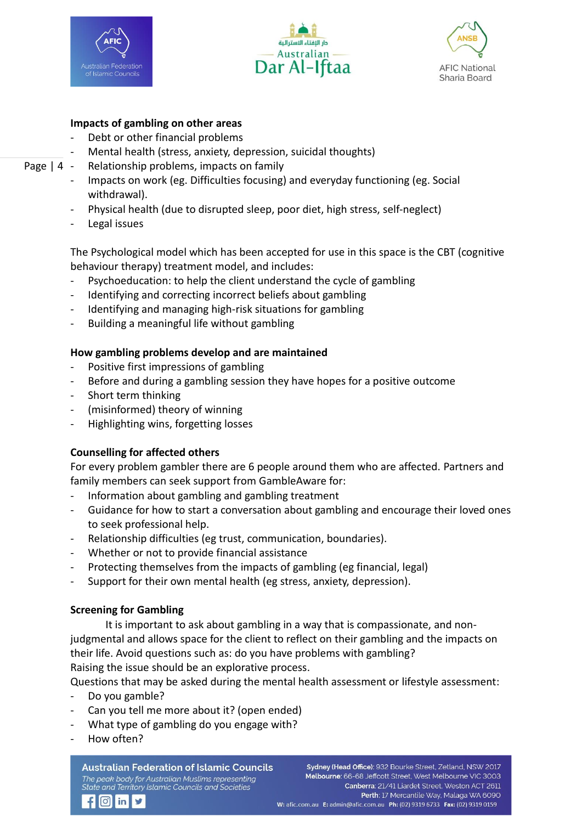





### **Impacts of gambling on other areas**

- Debt or other financial problems
- Mental health (stress, anxiety, depression, suicidal thoughts)
- Page  $|4 -$ Relationship problems, impacts on family
	- Impacts on work (eg. Difficulties focusing) and everyday functioning (eg. Social withdrawal).
	- Physical health (due to disrupted sleep, poor diet, high stress, self-neglect)
	- Legal issues

The Psychological model which has been accepted for use in this space is the CBT (cognitive behaviour therapy) treatment model, and includes:

- Psychoeducation: to help the client understand the cycle of gambling
- Identifying and correcting incorrect beliefs about gambling
- Identifying and managing high-risk situations for gambling
- Building a meaningful life without gambling

#### **How gambling problems develop and are maintained**

- Positive first impressions of gambling
- Before and during a gambling session they have hopes for a positive outcome
- Short term thinking
- (misinformed) theory of winning
- Highlighting wins, forgetting losses

# **Counselling for affected others**

For every problem gambler there are 6 people around them who are affected. Partners and family members can seek support from GambleAware for:

- Information about gambling and gambling treatment
- Guidance for how to start a conversation about gambling and encourage their loved ones to seek professional help.
- Relationship difficulties (eg trust, communication, boundaries).
- Whether or not to provide financial assistance
- Protecting themselves from the impacts of gambling (eg financial, legal)
- Support for their own mental health (eg stress, anxiety, depression).

# **Screening for Gambling**

It is important to ask about gambling in a way that is compassionate, and nonjudgmental and allows space for the client to reflect on their gambling and the impacts on their life. Avoid questions such as: do you have problems with gambling? Raising the issue should be an explorative process.

Questions that may be asked during the mental health assessment or lifestyle assessment:

- Do you gamble?
- Can you tell me more about it? (open ended)
- What type of gambling do you engage with?
- How often?

**Australian Federation of Islamic Councils** The peak body for Australian Muslims representing State and Territory Islamic Councils and Societies